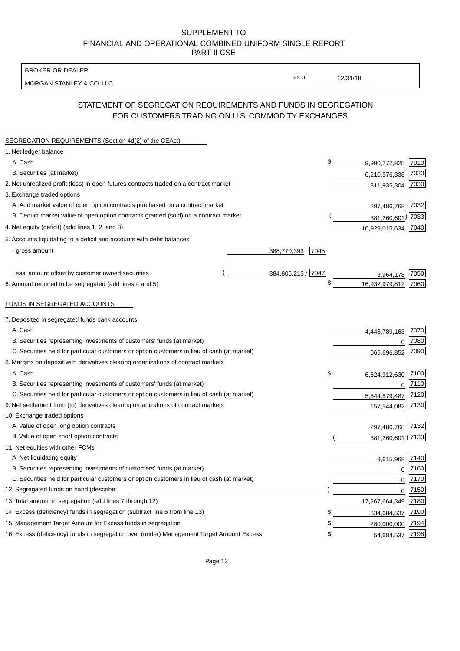BROKER OR DEALER

MORGAN STANLEY & CO. LLC

12/31/18

as of

# STATEMENT OF SEGREGATION REQUIREMENTS AND FUNDS IN SEGREGATION FOR CUSTOMERS TRADING ON U.S. COMMODITY EXCHANGES

| SEGREGATION REQUIREMENTS (Section 4d(2) of the CEAct)                                       |                     |                     |          |
|---------------------------------------------------------------------------------------------|---------------------|---------------------|----------|
| 1. Net ledger balance                                                                       |                     |                     |          |
| A. Cash                                                                                     | \$                  | 9,990,277,825       | 7010     |
| B. Securities (at market)                                                                   |                     | 6,210,576,338       | 7020     |
| 2. Net unrealized profit (loss) in open futures contracts traded on a contract market       |                     | 811,935,304         | 7030     |
| 3. Exchange traded options                                                                  |                     |                     |          |
| A. Add market value of open option contracts purchased on a contract market                 |                     | 297,486,768 7032    |          |
| B. Deduct market value of open option contracts granted (sold) on a contract market         |                     | 381,260,601) 7033   |          |
| 4. Net equity (deficit) (add lines 1, 2, and 3)                                             |                     | 16,929,015,634 7040 |          |
| 5. Accounts liquidating to a deficit and accounts with debit balances                       |                     |                     |          |
| - gross amount                                                                              | 388,770,393<br>7045 |                     |          |
|                                                                                             |                     |                     |          |
| Less: amount offset by customer owned securities                                            | 384,806,215) 7047   | 3,964,178           | 7050     |
| 6. Amount required to be segregated (add lines 4 and 5)                                     | \$                  | 16,932,979,812      | 7060     |
|                                                                                             |                     |                     |          |
| FUNDS IN SEGREGATED ACCOUNTS                                                                |                     |                     |          |
| 7. Deposited in segregated funds bank accounts                                              |                     |                     |          |
| A. Cash                                                                                     |                     | 4,448,789,163       | 7070     |
| B. Securities representing investments of customers' funds (at market)                      |                     | 0                   | 7080     |
| C. Securities held for particular customers or option customers in lieu of cash (at market) |                     | 565,696,852         | 7090     |
| 8. Margins on deposit with derivatives clearing organizations of contract markets           |                     |                     |          |
| A. Cash                                                                                     | \$                  | 6,524,912,630       | 7100     |
| B. Securities representing investments of customers' funds (at market)                      |                     | 0                   | 7110     |
| C. Securities held for particular customers or option customers in lieu of cash (at market) |                     | 5,644,879,487       | 7120     |
| 9. Net settlement from (to) derivatives clearing organizations of contract markets          |                     | 157,544,082         | 7130     |
| 10. Exchange traded options                                                                 |                     |                     |          |
| A. Value of open long option contracts                                                      |                     | 297,486,768 7132    |          |
| B. Value of open short option contracts                                                     |                     | 381,260,601 )7133   |          |
| 11. Net equities with other FCMs                                                            |                     |                     |          |
| A. Net liquidating equity                                                                   |                     | 9,615,968           | 7140     |
| B. Securities representing investments of customers' funds (at market)                      |                     | $\mathbf 0$         | 7160     |
| C. Securities held for particular customers or option customers in lieu of cash (at market) |                     | $\mathbf 0$         | 7170     |
| 12. Segregated funds on hand (describe:                                                     |                     |                     | $0$ 7150 |
| 13. Total amount in segregation (add lines 7 through 12)                                    |                     | 17,267,664,349 7180 |          |
| 14. Excess (deficiency) funds in segregation (subtract line 6 from line 13)                 | S                   | 334,684,537         | 7190     |
| 15. Management Target Amount for Excess funds in segregation                                | \$                  | 280,000,000         | 7194     |
| 16. Excess (deficiency) funds in segregation over (under) Management Target Amount Excess   | \$                  | 54,684,537 7198     |          |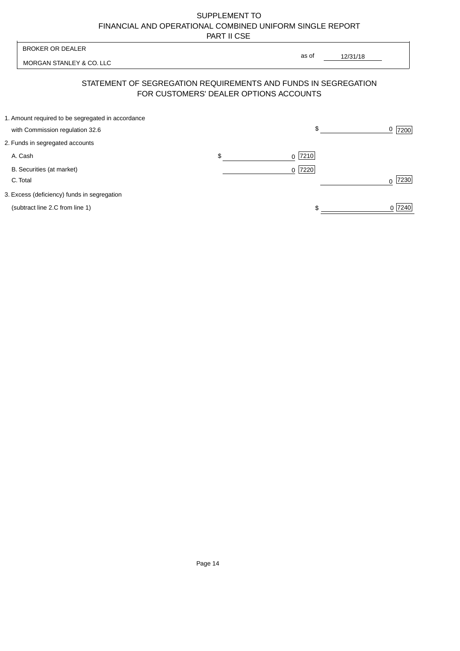| <b>BROKER OR DEALER</b>                           |                                        | as of                                                          |           |
|---------------------------------------------------|----------------------------------------|----------------------------------------------------------------|-----------|
| MORGAN STANLEY & CO. LLC                          |                                        | 12/31/18                                                       |           |
|                                                   | FOR CUSTOMERS' DEALER OPTIONS ACCOUNTS | STATEMENT OF SEGREGATION REQUIREMENTS AND FUNDS IN SEGREGATION |           |
| 1. Amount required to be segregated in accordance |                                        |                                                                |           |
| with Commission regulation 32.6                   |                                        | \$                                                             | $0$  7200 |
| 2. Funds in segregated accounts                   |                                        |                                                                |           |
| A. Cash                                           | \$                                     | $0$  7210                                                      |           |
| B. Securities (at market)                         |                                        | $0$  7220                                                      |           |
| C. Total                                          |                                        |                                                                | 7230      |
| 3. Excess (deficiency) funds in segregation       |                                        |                                                                |           |
| (subtract line 2.C from line 1)                   |                                        |                                                                | 0 7240    |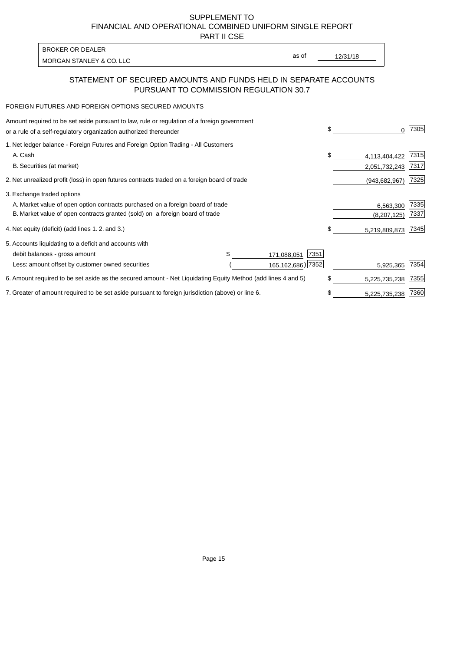PART II CSE

| BROKER OR DEALER         |       |          |
|--------------------------|-------|----------|
| MORGAN STANLEY & CO. LLC | as of | 12/31/18 |

### STATEMENT OF SECURED AMOUNTS AND FUNDS HELD IN SEPARATE ACCOUNTS PURSUANT TO COMMISSION REGULATION 30.7

#### FOREIGN FUTURES AND FOREIGN OPTIONS SECURED AMOUNTS

| Amount required to be set aside pursuant to law, rule or regulation of a foreign government<br>or a rule of a self-regulatory organization authorized thereunder |                     | \$<br>0             | 7305 |
|------------------------------------------------------------------------------------------------------------------------------------------------------------------|---------------------|---------------------|------|
| 1. Net ledger balance - Foreign Futures and Foreign Option Trading - All Customers                                                                               |                     |                     |      |
| A. Cash                                                                                                                                                          |                     | \$<br>4,113,404,422 | 7315 |
| B. Securities (at market)                                                                                                                                        |                     | 2,051,732,243       | 7317 |
| 2. Net unrealized profit (loss) in open futures contracts traded on a foreign board of trade                                                                     |                     | (943, 682, 967)     | 7325 |
| 3. Exchange traded options                                                                                                                                       |                     |                     |      |
| A. Market value of open option contracts purchased on a foreign board of trade                                                                                   |                     | 6,563,300           | 7335 |
| B. Market value of open contracts granted (sold) on a foreign board of trade                                                                                     |                     | (8, 207, 125)       | 7337 |
| 4. Net equity (deficit) (add lines 1. 2. and 3.)                                                                                                                 |                     | \$<br>5,219,809,873 | 7345 |
| 5. Accounts liquidating to a deficit and accounts with                                                                                                           |                     |                     |      |
| debit balances - gross amount                                                                                                                                    | 7351<br>171,088,051 |                     |      |
| Less: amount offset by customer owned securities                                                                                                                 | 165, 162, 686) 7352 | 5,925,365           | 7354 |
| 6. Amount required to be set aside as the secured amount - Net Liquidating Equity Method (add lines 4 and 5)                                                     |                     | \$<br>5,225,735,238 | 7355 |
| 7. Greater of amount required to be set aside pursuant to foreign jurisdiction (above) or line 6.                                                                |                     | \$<br>5,225,735,238 | 7360 |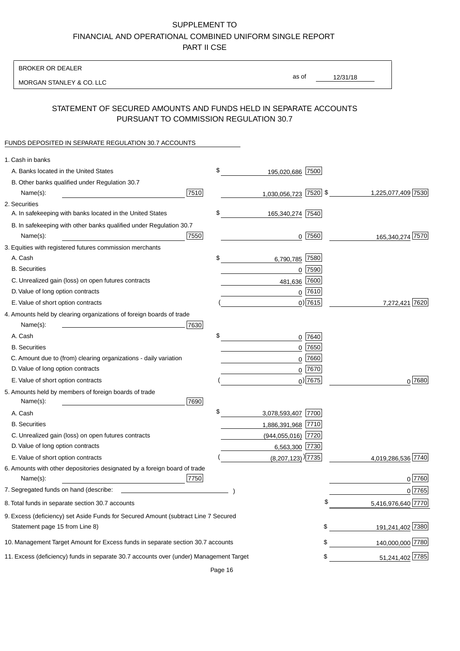BROKER OR DEALER

MORGAN STANLEY & CO. LLC

12/31/18 as of

## STATEMENT OF SECURED AMOUNTS AND FUNDS HELD IN SEPARATE ACCOUNTS PURSUANT TO COMMISSION REGULATION 30.7

### FUNDS DEPOSITED IN SEPARATE REGULATION 30.7 ACCOUNTS

| 1. Cash in banks                                                                       |      |                                   |                        |
|----------------------------------------------------------------------------------------|------|-----------------------------------|------------------------|
| A. Banks located in the United States                                                  | \$   | 195,020,686 7500                  |                        |
| B. Other banks qualified under Regulation 30.7                                         |      |                                   |                        |
| Name(s):                                                                               | 7510 | 1,030,056,723 7520 \$             | 1,225,077,409 7530     |
| 2. Securities                                                                          |      |                                   |                        |
| A. In safekeeping with banks located in the United States                              | \$   | 165,340,274 7540                  |                        |
| B. In safekeeping with other banks qualified under Regulation 30.7                     |      |                                   |                        |
| Name(s):                                                                               | 7550 | $0$  7560                         | 165,340,274 7570       |
| 3. Equities with registered futures commission merchants                               |      |                                   |                        |
| A. Cash                                                                                | \$   | 7580<br>6,790,785                 |                        |
| <b>B.</b> Securities                                                                   |      | $0$ 7590                          |                        |
| C. Unrealized gain (loss) on open futures contracts                                    |      | 7600<br>481,636                   |                        |
| D. Value of long option contracts                                                      |      | $0$ 7610                          |                        |
| E. Value of short option contracts                                                     |      | $0)$ 7615                         | 7,272,421 7620         |
| 4. Amounts held by clearing organizations of foreign boards of trade                   |      |                                   |                        |
| Name(s):                                                                               | 7630 |                                   |                        |
| A. Cash                                                                                | \$   | $0$ 7640                          |                        |
| <b>B.</b> Securities                                                                   |      | $0$ 7650                          |                        |
| C. Amount due to (from) clearing organizations - daily variation                       |      | 7660<br>0                         |                        |
| D. Value of long option contracts                                                      |      | 0 7670                            |                        |
| E. Value of short option contracts                                                     |      | $0)$ 7675                         | $0^{7680}$             |
| 5. Amounts held by members of foreign boards of trade<br>Name(s):                      | 7690 |                                   |                        |
| A. Cash                                                                                | \$   | 3,078,593,407 7700                |                        |
| <b>B.</b> Securities                                                                   |      | 1,886,391,968 7710                |                        |
| C. Unrealized gain (loss) on open futures contracts                                    |      | (944,055,016) 7720                |                        |
| D. Value of long option contracts                                                      |      | 6,563,300 7730                    |                        |
| E. Value of short option contracts                                                     |      | $(8,207,123)$ <sup>)</sup> [7735] | 4,019,286,536 7740     |
| 6. Amounts with other depositories designated by a foreign board of trade<br>Name(s):  | 7750 |                                   | 0 7760                 |
| 7. Segregated funds on hand (describe:                                                 |      |                                   | 0 7765                 |
| 8. Total funds in separate section 30.7 accounts                                       |      |                                   | 5,416,976,640 7770     |
| 9. Excess (deficiency) set Aside Funds for Secured Amount (subtract Line 7 Secured     |      |                                   |                        |
| Statement page 15 from Line 8)                                                         |      |                                   | 191,241,402 7380<br>\$ |
| 10. Management Target Amount for Excess funds in separate section 30.7 accounts        |      |                                   | 140,000,000 7780<br>\$ |
| 11. Excess (deficiency) funds in separate 30.7 accounts over (under) Management Target |      |                                   | 51,241,402 7785<br>\$  |